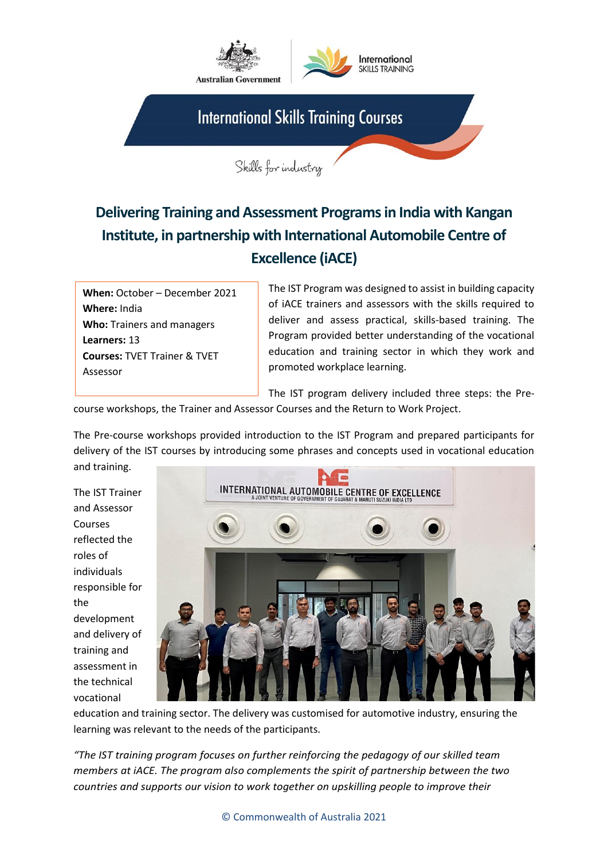

## **Delivering Training and Assessment Programs in India with Kangan Institute, in partnership with International Automobile Centre of Excellence (iACE)**

**When:** October – December 2021 **Where:** India **Who:** Trainers and managers **Learners:** 13 **Courses:** TVET Trainer & TVET Assessor

The IST Program was designed to assist in building capacity of iACE trainers and assessors with the skills required to deliver and assess practical, skills-based training. The Program provided better understanding of the vocational education and training sector in which they work and promoted workplace learning.

The IST program delivery included three steps: the Pre-

course workshops, the Trainer and Assessor Courses and the Return to Work Project.

The Pre-course workshops provided introduction to the IST Program and prepared participants for delivery of the IST courses by introducing some phrases and concepts used in vocational education and training.

The IST Trainer and Assessor Courses reflected the roles of individuals responsible for the development and delivery of training and assessment in the technical vocational



education and training sector. The delivery was customised for automotive industry, ensuring the learning was relevant to the needs of the participants.

*"The IST training program focuses on further reinforcing the pedagogy of our skilled team members at iACE. The program also complements the spirit of partnership between the two countries and supports our vision to work together on upskilling people to improve their*